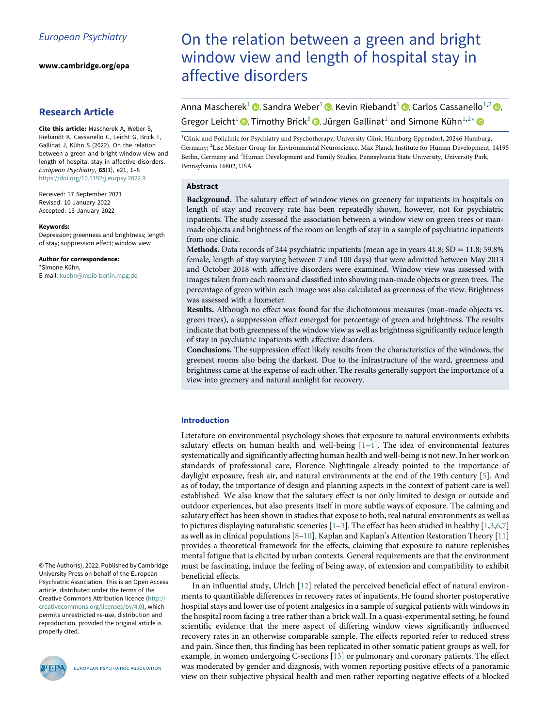www.cambridge.org/epa

# Research Article

<span id="page-0-2"></span><span id="page-0-1"></span><span id="page-0-0"></span>Cite this article: Mascherek A, Weber S, Riebandt K, Cassanello C, Leicht G, Brick T, Gallinat J, Kühn S (2022). On the relation between a green and bright window view and length of hospital stay in affective disorders. European Psychiatry, 65(1), e21, 1–8 <https://doi.org/10.1192/j.eurpsy.2022.9>

<span id="page-0-3"></span>Received: 17 September 2021 Revised: 10 January 2022 Accepted: 13 January 2022

#### Keywords:

Depression; greenness and brightness; length of stay; suppression effect; window view

Author for correspondence: \*Simone Kühn,

E-mail: [kuehn@mpib-berlin.mpg.de](mailto:kuehn@mpib-berlin.mpg.de)

© The Author(s), 2022. Published by Cambridge University Press on behalf of the European Psychiatric Association. This is an Open Access article, distributed under the terms of the Creative Commons Attribution licence [\(http://](http://creativecommons.org/licenses/by/4.0) [creativecommons.org/licenses/by/4.0](http://creativecommons.org/licenses/by/4.0)), which permits unrestricted re-use, distribution and reproduction, provided the original article is properly cited.



EUROPEAN PSYCHIATRIC ASSOCIATION

# On the relation between a green and bright window view and length of hospital stay in affective disorders

Anna Mascherek<sup>[1](#page-0-0)</sup> **D**[,](https://orcid.org/0000-0003-1591-8802) Sandra Weber<sup>1</sup> **D**, Kevin Riebandt<sup>1</sup> **D**, Carlos Cassanello<sup>[1,](#page-0-0)[2](#page-0-1)</sup> **D**, Gregor Leicht<sup>[1](#page-0-0)</sup><sup>®</sup>, Timothy Brick<sup>[3](#page-0-2)</sup> <sup>®</sup>[,](https://orcid.org/0000-0002-3339-9279) Jürgen Gallinat<sup>1</sup> and Simone Kühn<sup>1[,2](#page-0-1)[\\*](#page-0-3)</sup>

<sup>1</sup>Clinic and Policlinic for Psychiatry and Psychotherapy, University Clinic Hamburg-Eppendorf, 20246 Hamburg, Germany; <sup>2</sup> Lise Meitner Group for Environmental Neuroscience, Max Planck Institute for Human Development, 14195 Berlin, Germany and <sup>3</sup>Human Development and Family Studies, Pennsylvania State University, University Park, Pennsylvania 16802, USA

# Abstract

Background. The salutary effect of window views on greenery for inpatients in hospitals on length of stay and recovery rate has been repeatedly shown, however, not for psychiatric inpatients. The study assessed the association between a window view on green trees or manmade objects and brightness of the room on length of stay in a sample of psychiatric inpatients from one clinic.

**Methods.** Data records of 244 psychiatric inpatients (mean age in years  $41.8$ ;  $SD = 11.8$ ;  $59.8\%$ female, length of stay varying between 7 and 100 days) that were admitted between May 2013 and October 2018 with affective disorders were examined. Window view was assessed with images taken from each room and classified into showing man-made objects or green trees. The percentage of green within each image was also calculated as greenness of the view. Brightness was assessed with a luxmeter.

Results. Although no effect was found for the dichotomous measures (man-made objects vs. green trees), a suppression effect emerged for percentage of green and brightness. The results indicate that both greenness of the window view as well as brightness significantly reduce length of stay in psychiatric inpatients with affective disorders.

Conclusions. The suppression effect likely results from the characteristics of the windows; the greenest rooms also being the darkest. Due to the infrastructure of the ward, greenness and brightness came at the expense of each other. The results generally support the importance of a view into greenery and natural sunlight for recovery.

# Introduction

Literature on environmental psychology shows that exposure to natural environments exhibits salutary effects on human health and well-being  $[1-4]$  $[1-4]$  $[1-4]$  $[1-4]$ . The idea of environmental features systematically and significantly affecting human health and well-being is not new. In her work on standards of professional care, Florence Nightingale already pointed to the importance of daylight exposure, fresh air, and natural environments at the end of the 19th century [[5](#page-6-2)]. And as of today, the importance of design and planning aspects in the context of patient care is well established. We also know that the salutary effect is not only limited to design or outside and outdoor experiences, but also presents itself in more subtle ways of exposure. The calming and salutary effect has been shown in studies that expose to both, real natural environments as well as to pictures displaying naturalistic sceneries  $[1-3]$  $[1-3]$  $[1-3]$  $[1-3]$ . The effect has been studied in healthy  $[1,3,6,7]$  $[1,3,6,7]$  $[1,3,6,7]$  $[1,3,6,7]$  $[1,3,6,7]$  $[1,3,6,7]$ as well as in clinical populations [[8](#page-6-7)–[10](#page-6-8)]. Kaplan and Kaplan's Attention Restoration Theory [\[11](#page-6-9)] provides a theoretical framework for the effects, claiming that exposure to nature replenishes mental fatigue that is elicited by urban contexts. General requirements are that the environment must be fascinating, induce the feeling of being away, of extension and compatibility to exhibit beneficial effects.

In an influential study, Ulrich [[12\]](#page-6-10) related the perceived beneficial effect of natural environments to quantifiable differences in recovery rates of inpatients. He found shorter postoperative hospital stays and lower use of potent analgesics in a sample of surgical patients with windows in the hospital room facing a tree rather than a brick wall. In a quasi-experimental setting, he found scientific evidence that the mere aspect of differing window views significantly influenced recovery rates in an otherwise comparable sample. The effects reported refer to reduced stress and pain. Since then, this finding has been replicated in other somatic patient groups as well, for example, in women undergoing C-sections [[13\]](#page-6-11) or pulmonary and coronary patients. The effect was moderated by gender and diagnosis, with women reporting positive effects of a panoramic view on their subjective physical health and men rather reporting negative effects of a blocked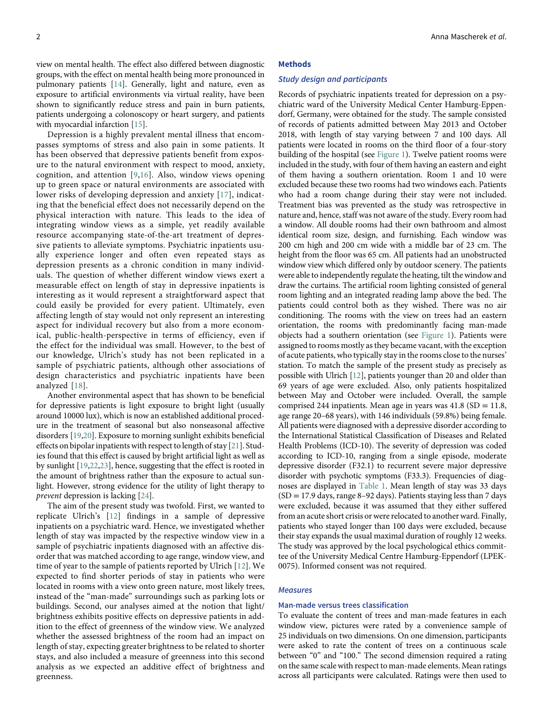view on mental health. The effect also differed between diagnostic groups, with the effect on mental health being more pronounced in pulmonary patients [\[14](#page-6-12)]. Generally, light and nature, even as exposure to artificial environments via virtual reality, have been shown to significantly reduce stress and pain in burn patients, patients undergoing a colonoscopy or heart surgery, and patients with myocardial infarction [\[15](#page-6-13)].

Depression is a highly prevalent mental illness that encompasses symptoms of stress and also pain in some patients. It has been observed that depressive patients benefit from exposure to the natural environment with respect to mood, anxiety, cognition, and attention [[9](#page-6-14),[16](#page-6-15)]. Also, window views opening up to green space or natural environments are associated with lower risks of developing depression and anxiety [[17\]](#page-6-16), indicating that the beneficial effect does not necessarily depend on the physical interaction with nature. This leads to the idea of integrating window views as a simple, yet readily available resource accompanying state-of-the-art treatment of depressive patients to alleviate symptoms. Psychiatric inpatients usually experience longer and often even repeated stays as depression presents as a chronic condition in many individuals. The question of whether different window views exert a measurable effect on length of stay in depressive inpatients is interesting as it would represent a straightforward aspect that could easily be provided for every patient. Ultimately, even affecting length of stay would not only represent an interesting aspect for individual recovery but also from a more economical, public-health-perspective in terms of efficiency, even if the effect for the individual was small. However, to the best of our knowledge, Ulrich's study has not been replicated in a sample of psychiatric patients, although other associations of design characteristics and psychiatric inpatients have been analyzed [[18](#page-6-17)].

Another environmental aspect that has shown to be beneficial for depressive patients is light exposure to bright light (usually around 10000 lux), which is now an established additional procedure in the treatment of seasonal but also nonseasonal affective disorders [[19,](#page-6-18)[20\]](#page-6-19). Exposure to morning sunlight exhibits beneficial effects on bipolar inpatients with respect to length of stay [\[21](#page-6-20)]. Studies found that this effect is caused by bright artificial light as well as by sunlight [[19,](#page-6-18)[22](#page-6-21)[,23](#page-6-22)], hence, suggesting that the effect is rooted in the amount of brightness rather than the exposure to actual sunlight. However, strong evidence for the utility of light therapy to prevent depression is lacking [[24\]](#page-7-0).

The aim of the present study was twofold. First, we wanted to replicate Ulrich's [\[12\]](#page-6-10) findings in a sample of depressive inpatients on a psychiatric ward. Hence, we investigated whether length of stay was impacted by the respective window view in a sample of psychiatric inpatients diagnosed with an affective disorder that was matched according to age range, window view, and time of year to the sample of patients reported by Ulrich [[12\]](#page-6-10). We expected to find shorter periods of stay in patients who were located in rooms with a view onto green nature, most likely trees, instead of the "man-made" surroundings such as parking lots or buildings. Second, our analyses aimed at the notion that light/ brightness exhibits positive effects on depressive patients in addition to the effect of greenness of the window view. We analyzed whether the assessed brightness of the room had an impact on length of stay, expecting greater brightness to be related to shorter stays, and also included a measure of greenness into this second analysis as we expected an additive effect of brightness and greenness.

#### Methods

### Study design and participants

Records of psychiatric inpatients treated for depression on a psychiatric ward of the University Medical Center Hamburg-Eppendorf, Germany, were obtained for the study. The sample consisted of records of patients admitted between May 2013 and October 2018, with length of stay varying between 7 and 100 days. All patients were located in rooms on the third floor of a four-story building of the hospital (see [Figure 1](#page-2-0)). Twelve patient rooms were included in the study, with four of them having an eastern and eight of them having a southern orientation. Room 1 and 10 were excluded because these two rooms had two windows each. Patients who had a room change during their stay were not included. Treatment bias was prevented as the study was retrospective in nature and, hence, staff was not aware of the study. Every room had a window. All double rooms had their own bathroom and almost identical room size, design, and furnishing. Each window was 200 cm high and 200 cm wide with a middle bar of 23 cm. The height from the floor was 65 cm. All patients had an unobstructed window view which differed only by outdoor scenery. The patients were able to independently regulate the heating, tilt the window and draw the curtains. The artificial room lighting consisted of general room lighting and an integrated reading lamp above the bed. The patients could control both as they wished. There was no air conditioning. The rooms with the view on trees had an eastern orientation, the rooms with predominantly facing man-made objects had a southern orientation (see [Figure 1](#page-2-0)). Patients were assigned to rooms mostly as they became vacant, with the exception of acute patients, who typically stay in the rooms close to the nurses' station. To match the sample of the present study as precisely as possible with Ulrich [[12\]](#page-6-10), patients younger than 20 and older than 69 years of age were excluded. Also, only patients hospitalized between May and October were included. Overall, the sample comprised 244 inpatients. Mean age in years was  $41.8$  (SD =  $11.8$ , age range 20–68 years), with 146 individuals (59.8%) being female. All patients were diagnosed with a depressive disorder according to the International Statistical Classification of Diseases and Related Health Problems (ICD-10). The severity of depression was coded according to ICD-10, ranging from a single episode, moderate depressive disorder (F32.1) to recurrent severe major depressive disorder with psychotic symptoms (F33.3). Frequencies of diagnoses are displayed in [Table 1.](#page-2-1) Mean length of stay was 33 days  $(SD = 17.9 \text{ days}, \text{range } 8-92 \text{ days})$ . Patients staying less than 7 days were excluded, because it was assumed that they either suffered from an acute short crisis or were relocated to another ward. Finally, patients who stayed longer than 100 days were excluded, because their stay expands the usual maximal duration of roughly 12 weeks. The study was approved by the local psychological ethics committee of the University Medical Centre Hamburg-Eppendorf (LPEK-0075). Informed consent was not required.

## **Measures**

#### Man-made versus trees classification

To evaluate the content of trees and man-made features in each window view, pictures were rated by a convenience sample of 25 individuals on two dimensions. On one dimension, participants were asked to rate the content of trees on a continuous scale between "0" and "100." The second dimension required a rating on the same scale with respect to man-made elements. Mean ratings across all participants were calculated. Ratings were then used to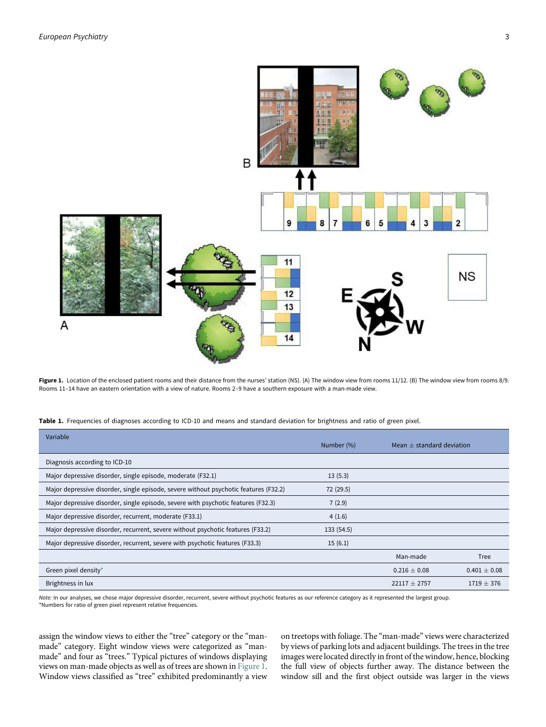<span id="page-2-0"></span>

Figure 1. Location of the enclosed patient rooms and their distance from the nurses' station (NS). (A) The window view from rooms 11/12. (B) The window view from rooms 8/9. Rooms 11–14 have an eastern orientation with a view of nature. Rooms 2–9 have a southern exposure with a man-made view.

|  | Table 1. Frequencies of diagnoses according to ICD-10 and means and standard deviation for brightness and ratio of green pixel. |  |
|--|---------------------------------------------------------------------------------------------------------------------------------|--|
|--|---------------------------------------------------------------------------------------------------------------------------------|--|

| Variable                                                                             | Number (%) | Mean $\pm$ standard deviation |                  |
|--------------------------------------------------------------------------------------|------------|-------------------------------|------------------|
| Diagnosis according to ICD-10                                                        |            |                               |                  |
| Major depressive disorder, single episode, moderate (F32.1)                          | 13(5.3)    |                               |                  |
| Major depressive disorder, single episode, severe without psychotic features (F32.2) | 72 (29.5)  |                               |                  |
| Major depressive disorder, single episode, severe with psychotic features (F32.3)    | 7(2.9)     |                               |                  |
| Major depressive disorder, recurrent, moderate (F33.1)                               | 4(1.6)     |                               |                  |
| Major depressive disorder, recurrent, severe without psychotic features (F33.2)      | 133(54.5)  |                               |                  |
| Major depressive disorder, recurrent, severe with psychotic features (F33.3)         | 15(6.1)    |                               |                  |
|                                                                                      |            | Man-made                      | Tree             |
| Green pixel density*                                                                 |            | $0.216 \pm 0.08$              | $0.401 \pm 0.08$ |
| Brightness in lux                                                                    |            | $22117 + 2757$                | $1719 + 376$     |

<span id="page-2-2"></span><span id="page-2-1"></span>Note: In our analyses, we chose major depressive disorder, recurrent, severe without psychotic features as our reference category as it represented the largest group. \*Numbers for ratio of green pixel represent relative frequencies.

assign the window views to either the "tree" category or the "manmade" category. Eight window views were categorized as "manmade" and four as "trees." Typical pictures of windows displaying views on man-made objects as well as of trees are shown in [Figure 1.](#page-2-0) Window views classified as "tree" exhibited predominantly a view

on treetops with foliage. The "man-made" views were characterized by views of parking lots and adjacent buildings. The trees in the tree images were located directly in front of the window, hence, blocking the full view of objects further away. The distance between the window sill and the first object outside was larger in the views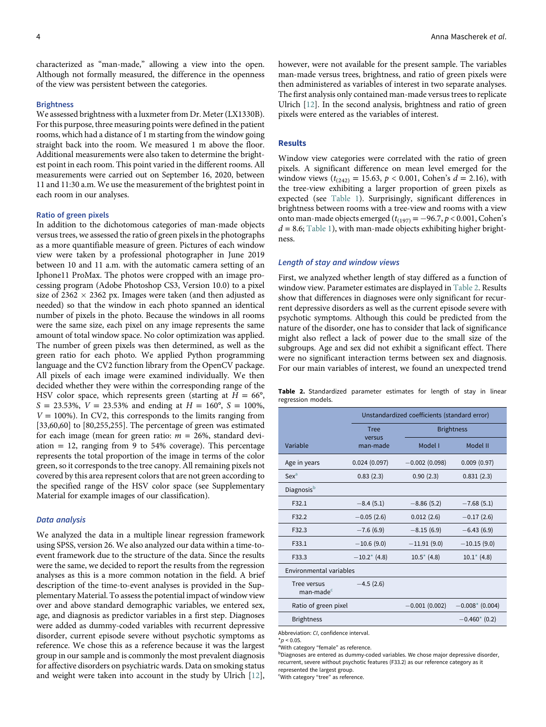characterized as "man-made," allowing a view into the open. Although not formally measured, the difference in the openness of the view was persistent between the categories.

#### **Brightness**

We assessed brightness with a luxmeter from Dr. Meter (LX1330B). For this purpose, three measuring points were defined in the patient rooms, which had a distance of 1 m starting from the window going straight back into the room. We measured 1 m above the floor. Additional measurements were also taken to determine the brightest point in each room. This point varied in the different rooms. All measurements were carried out on September 16, 2020, between 11 and 11:30 a.m. We use the measurement of the brightest point in each room in our analyses.

# Ratio of green pixels

In addition to the dichotomous categories of man-made objects versus trees, we assessed the ratio of green pixels in the photographs as a more quantifiable measure of green. Pictures of each window view were taken by a professional photographer in June 2019 between 10 and 11 a.m. with the automatic camera setting of an Iphone11 ProMax. The photos were cropped with an image processing program (Adobe Photoshop CS3, Version 10.0) to a pixel size of 2362  $\times$  2362 px. Images were taken (and then adjusted as needed) so that the window in each photo spanned an identical number of pixels in the photo. Because the windows in all rooms were the same size, each pixel on any image represents the same amount of total window space. No color optimization was applied. The number of green pixels was then determined, as well as the green ratio for each photo. We applied Python programming language and the CV2 function library from the OpenCV package. All pixels of each image were examined individually. We then decided whether they were within the corresponding range of the HSV color space, which represents green (starting at  $H = 66^{\circ}$ ,  $S = 23.53\%$ ,  $V = 23.53\%$  and ending at  $H = 160^{\circ}$ ,  $S = 100\%$ ,  $V = 100\%$ ). In CV2, this corresponds to the limits ranging from [33,60,60] to [80,255,255]. The percentage of green was estimated for each image (mean for green ratio:  $m = 26\%$ , standard deviation  $= 12$ , ranging from 9 to 54% coverage). This percentage represents the total proportion of the image in terms of the color green, so it corresponds to the tree canopy. All remaining pixels not covered by this area represent colors that are not green according to the specified range of the HSV color space (see Supplementary Material for example images of our classification).

# Data analysis

<span id="page-3-4"></span><span id="page-3-3"></span><span id="page-3-2"></span><span id="page-3-1"></span><span id="page-3-0"></span>We analyzed the data in a multiple linear regression framework using SPSS, version 26. We also analyzed our data within a time-toevent framework due to the structure of the data. Since the results were the same, we decided to report the results from the regression analyses as this is a more common notation in the field. A brief description of the time-to-event analyses is provided in the Supplementary Material. To assess the potential impact of window view over and above standard demographic variables, we entered sex, age, and diagnosis as predictor variables in a first step. Diagnoses were added as dummy-coded variables with recurrent depressive disorder, current episode severe without psychotic symptoms as reference. We chose this as a reference because it was the largest group in our sample and is commonly the most prevalent diagnosis for affective disorders on psychiatric wards. Data on smoking status and weight were taken into account in the study by Ulrich [\[12](#page-6-10)],

however, were not available for the present sample. The variables man-made versus trees, brightness, and ratio of green pixels were then administered as variables of interest in two separate analyses. The first analysis only contained man-made versus trees to replicate Ulrich [\[12](#page-6-10)]. In the second analysis, brightness and ratio of green pixels were entered as the variables of interest.

# Results

Window view categories were correlated with the ratio of green pixels. A significant difference on mean level emerged for the window views ( $t_{(242)} = 15.63$ ,  $p < 0.001$ , Cohen's  $d = 2.16$ ), with the tree-view exhibiting a larger proportion of green pixels as expected (see [Table 1\)](#page-2-1). Surprisingly, significant differences in brightness between rooms with a tree-view and rooms with a view onto man-made objects emerged ( $t_{(197)} = -96.7$ ,  $p < 0.001$ , Cohen's  $d = 8.6$ ; [Table 1](#page-2-1)), with man-made objects exhibiting higher brightness.

## Length of stay and window views

First, we analyzed whether length of stay differed as a function of window view. Parameter estimates are displayed in [Table 2.](#page-3-0) Results show that differences in diagnoses were only significant for recurrent depressive disorders as well as the current episode severe with psychotic symptoms. Although this could be predicted from the nature of the disorder, one has to consider that lack of significance might also reflect a lack of power due to the small size of the subgroups. Age and sex did not exhibit a significant effect. There were no significant interaction terms between sex and diagnosis. For our main variables of interest, we found an unexpected trend

Table 2. Standardized parameter estimates for length of stay in linear regression models.

|                                         | Unstandardized coefficients (standard error) |                   |                   |  |  |  |
|-----------------------------------------|----------------------------------------------|-------------------|-------------------|--|--|--|
|                                         | <b>Tree</b>                                  | <b>Brightness</b> |                   |  |  |  |
| Variable                                | versus<br>man-made                           | Model I           | Model II          |  |  |  |
| Age in years                            | 0.024(0.097)                                 | $-0.002(0.098)$   | 0.009(0.97)       |  |  |  |
| $Sex^a$                                 | 0.83(2.3)                                    | 0.90(2.3)         | 0.831(2.3)        |  |  |  |
| Diagnosis <sup>b</sup>                  |                                              |                   |                   |  |  |  |
| F32.1                                   | $-8.4(5.1)$                                  | $-8.86(5.2)$      | $-7.68(5.1)$      |  |  |  |
| F32.2                                   | $-0.05(2.6)$                                 | 0.012(2.6)        | $-0.17(2.6)$      |  |  |  |
| F32.3                                   | $-7.6(6.9)$                                  | $-8.15(6.9)$      | $-6.43(6.9)$      |  |  |  |
| F33.1                                   | $-10.6(9.0)$                                 | $-11.91(9.0)$     | $-10.15(9.0)$     |  |  |  |
| F33.3                                   | $-10.2$ (4.8)                                | $10.5^*$ (4.8)    | $10.1^*$ (4.8)    |  |  |  |
| Environmental variables                 |                                              |                   |                   |  |  |  |
| Tree versus<br>$m$ an-made <sup>c</sup> | $-4.5(2.6)$                                  |                   |                   |  |  |  |
| Ratio of green pixel                    |                                              | $-0.001(0.002)$   | $-0.008*$ (0.004) |  |  |  |
| <b>Brightness</b>                       |                                              |                   | $-0.460*(0.2)$    |  |  |  |
|                                         |                                              |                   |                   |  |  |  |

Abbreviation: CI, confidence interval.

 $*_{D}$  < 0.05.

<sup>a</sup>With category "female" as reference.

<sup>b</sup>Diagnoses are entered as dummy-coded variables. We chose major depressive disorder, recurrent, severe without psychotic features (F33.2) as our reference category as it

represented the largest group.

'With category "tree" as reference.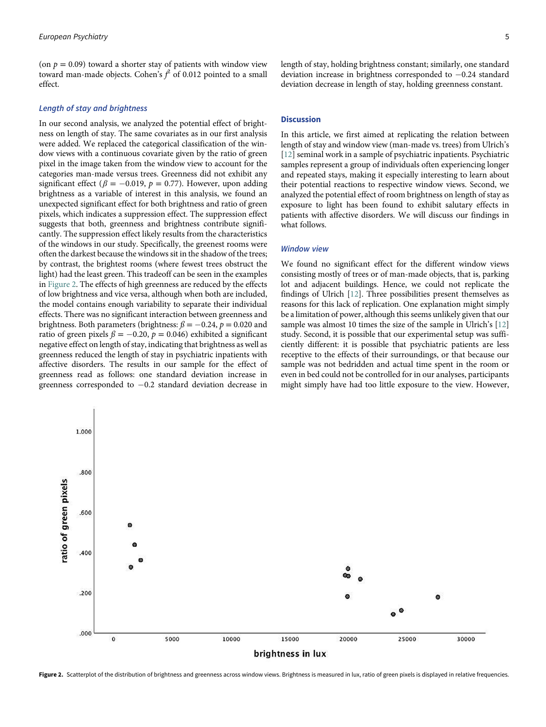(on  $p = 0.09$ ) toward a shorter stay of patients with window view toward man-made objects. Cohen's  $f^2$  of 0.012 pointed to a small effect.

# Length of stay and brightness

In our second analysis, we analyzed the potential effect of brightness on length of stay. The same covariates as in our first analysis were added. We replaced the categorical classification of the window views with a continuous covariate given by the ratio of green pixel in the image taken from the window view to account for the categories man-made versus trees. Greenness did not exhibit any significant effect ( $\beta = -0.019$ ,  $p = 0.77$ ). However, upon adding brightness as a variable of interest in this analysis, we found an unexpected significant effect for both brightness and ratio of green pixels, which indicates a suppression effect. The suppression effect suggests that both, greenness and brightness contribute significantly. The suppression effect likely results from the characteristics of the windows in our study. Specifically, the greenest rooms were often the darkest because the windows sit in the shadow of the trees; by contrast, the brightest rooms (where fewest trees obstruct the light) had the least green. This tradeoff can be seen in the examples in [Figure 2.](#page-4-0) The effects of high greenness are reduced by the effects of low brightness and vice versa, although when both are included, the model contains enough variability to separate their individual effects. There was no significant interaction between greenness and brightness. Both parameters (brightness:  $\beta = -0.24$ ,  $p = 0.020$  and ratio of green pixels  $\beta = -0.20$ ,  $p = 0.046$ ) exhibited a significant negative effect on length of stay, indicating that brightness as well as greenness reduced the length of stay in psychiatric inpatients with affective disorders. The results in our sample for the effect of greenness read as follows: one standard deviation increase in greenness corresponded to  $-0.2$  standard deviation decrease in

length of stay, holding brightness constant; similarly, one standard deviation increase in brightness corresponded to  $-0.24$  standard deviation decrease in length of stay, holding greenness constant.

# **Discussion**

In this article, we first aimed at replicating the relation between length of stay and window view (man-made vs. trees) from Ulrich's [[12\]](#page-6-10) seminal work in a sample of psychiatric inpatients. Psychiatric samples represent a group of individuals often experiencing longer and repeated stays, making it especially interesting to learn about their potential reactions to respective window views. Second, we analyzed the potential effect of room brightness on length of stay as exposure to light has been found to exhibit salutary effects in patients with affective disorders. We will discuss our findings in what follows.

# Window view

We found no significant effect for the different window views consisting mostly of trees or of man-made objects, that is, parking lot and adjacent buildings. Hence, we could not replicate the findings of Ulrich [\[12](#page-6-10)]. Three possibilities present themselves as reasons for this lack of replication. One explanation might simply be a limitation of power, although this seems unlikely given that our sample was almost 10 times the size of the sample in Ulrich's [\[12](#page-6-10)] study. Second, it is possible that our experimental setup was sufficiently different: it is possible that psychiatric patients are less receptive to the effects of their surroundings, or that because our sample was not bedridden and actual time spent in the room or even in bed could not be controlled for in our analyses, participants might simply have had too little exposure to the view. However,

<span id="page-4-0"></span>

Figure 2. Scatterplot of the distribution of brightness and greenness across window views. Brightness is measured in lux, ratio of green pixels is displayed in relative frequencies.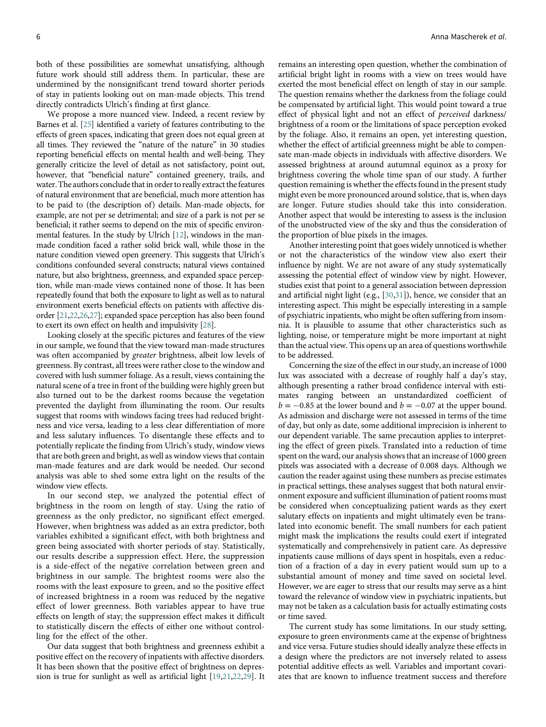both of these possibilities are somewhat unsatisfying, although future work should still address them. In particular, these are undermined by the nonsignificant trend toward shorter periods of stay in patients looking out on man-made objects. This trend directly contradicts Ulrich's finding at first glance.

We propose a more nuanced view. Indeed, a recent review by Barnes et al. [[25\]](#page-7-1) identified a variety of features contributing to the effects of green spaces, indicating that green does not equal green at all times. They reviewed the "nature of the nature" in 30 studies reporting beneficial effects on mental health and well-being. They generally criticize the level of detail as not satisfactory, point out, however, that "beneficial nature" contained greenery, trails, and water. The authors conclude that in order to really extract the features of natural environment that are beneficial, much more attention has to be paid to (the description of) details. Man-made objects, for example, are not per se detrimental; and size of a park is not per se beneficial; it rather seems to depend on the mix of specific environmental features. In the study by Ulrich [\[12](#page-6-10)], windows in the manmade condition faced a rather solid brick wall, while those in the nature condition viewed open greenery. This suggests that Ulrich's conditions confounded several constructs; natural views contained nature, but also brightness, greenness, and expanded space perception, while man-made views contained none of those. It has been repeatedly found that both the exposure to light as well as to natural environment exerts beneficial effects on patients with affective disorder [\[21](#page-6-20)[,22,](#page-6-21)[26,](#page-7-0)[27\]](#page-7-1); expanded space perception has also been found to exert its own effect on health and impulsivity [\[28](#page-7-0)].

Looking closely at the specific pictures and features of the view in our sample, we found that the view toward man-made structures was often accompanied by greater brightness, albeit low levels of greenness. By contrast, all trees were rather close to the window and covered with lush summer foliage. As a result, views containing the natural scene of a tree in front of the building were highly green but also turned out to be the darkest rooms because the vegetation prevented the daylight from illuminating the room. Our results suggest that rooms with windows facing trees had reduced brightness and vice versa, leading to a less clear differentiation of more and less salutary influences. To disentangle these effects and to potentially replicate the finding from Ulrich's study, window views that are both green and bright, as well as window views that contain man-made features and are dark would be needed. Our second analysis was able to shed some extra light on the results of the window view effects.

In our second step, we analyzed the potential effect of brightness in the room on length of stay. Using the ratio of greenness as the only predictor, no significant effect emerged. However, when brightness was added as an extra predictor, both variables exhibited a significant effect, with both brightness and green being associated with shorter periods of stay. Statistically, our results describe a suppression effect. Here, the suppression is a side-effect of the negative correlation between green and brightness in our sample. The brightest rooms were also the rooms with the least exposure to green, and so the positive effect of increased brightness in a room was reduced by the negative effect of lower greenness. Both variables appear to have true effects on length of stay; the suppression effect makes it difficult to statistically discern the effects of either one without controlling for the effect of the other.

Our data suggest that both brightness and greenness exhibit a positive effect on the recovery of inpatients with affective disorders. It has been shown that the positive effect of brightness on depression is true for sunlight as well as artificial light [[19,](#page-6-18)[21,](#page-6-20)[22](#page-6-21)[,29](#page-7-1)]. It remains an interesting open question, whether the combination of artificial bright light in rooms with a view on trees would have exerted the most beneficial effect on length of stay in our sample. The question remains whether the darkness from the foliage could be compensated by artificial light. This would point toward a true effect of physical light and not an effect of perceived darkness/ brightness of a room or the limitations of space perception evoked by the foliage. Also, it remains an open, yet interesting question, whether the effect of artificial greenness might be able to compensate man-made objects in individuals with affective disorders. We assessed brightness at around autumnal equinox as a proxy for brightness covering the whole time span of our study. A further question remaining is whether the effects found in the present study might even be more pronounced around solstice, that is, when days are longer. Future studies should take this into consideration. Another aspect that would be interesting to assess is the inclusion of the unobstructed view of the sky and thus the consideration of the proportion of blue pixels in the images.

Another interesting point that goes widely unnoticed is whether or not the characteristics of the window view also exert their influence by night. We are not aware of any study systematically assessing the potential effect of window view by night. However, studies exist that point to a general association between depression and artificial night light (e.g., [\[30](#page-7-0)[,31](#page-7-1)]), hence, we consider that an interesting aspect. This might be especially interesting in a sample of psychiatric inpatients, who might be often suffering from insomnia. It is plausible to assume that other characteristics such as lighting, noise, or temperature might be more important at night than the actual view. This opens up an area of questions worthwhile to be addressed.

Concerning the size of the effect in our study, an increase of 1000 lux was associated with a decrease of roughly half a day's stay, although presenting a rather broad confidence interval with estimates ranging between an unstandardized coefficient of  $b = -0.85$  at the lower bound and  $b = -0.07$  at the upper bound. As admission and discharge were not assessed in terms of the time of day, but only as date, some additional imprecision is inherent to our dependent variable. The same precaution applies to interpreting the effect of green pixels. Translated into a reduction of time spent on the ward, our analysis shows that an increase of 1000 green pixels was associated with a decrease of 0.008 days. Although we caution the reader against using these numbers as precise estimates in practical settings, these analyses suggest that both natural environment exposure and sufficient illumination of patient rooms must be considered when conceptualizing patient wards as they exert salutary effects on inpatients and might ultimately even be translated into economic benefit. The small numbers for each patient might mask the implications the results could exert if integrated systematically and comprehensively in patient care. As depressive inpatients cause millions of days spent in hospitals, even a reduction of a fraction of a day in every patient would sum up to a substantial amount of money and time saved on societal level. However, we are eager to stress that our results may serve as a hint toward the relevance of window view in psychiatric inpatients, but may not be taken as a calculation basis for actually estimating costs or time saved.

The current study has some limitations. In our study setting, exposure to green environments came at the expense of brightness and vice versa. Future studies should ideally analyze these effects in a design where the predictors are not inversely related to assess potential additive effects as well. Variables and important covariates that are known to influence treatment success and therefore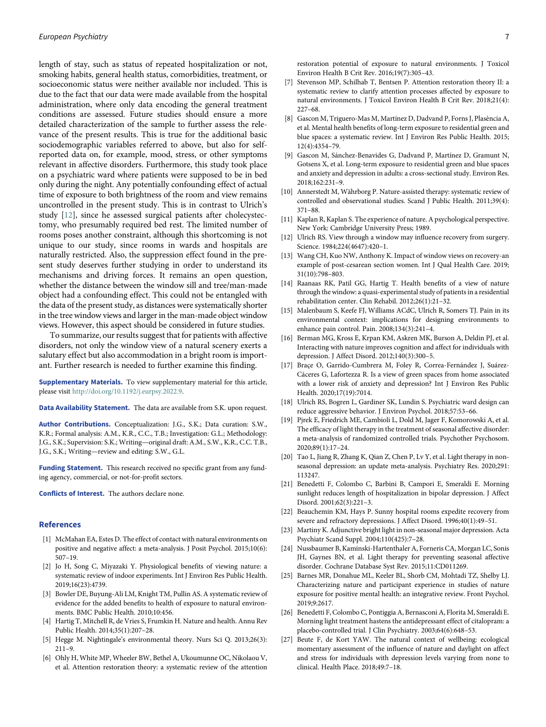<span id="page-6-8"></span><span id="page-6-7"></span><span id="page-6-5"></span><span id="page-6-2"></span>length of stay, such as status of repeated hospitalization or not, smoking habits, general health status, comorbidities, treatment, or socioeconomic status were neither available nor included. This is due to the fact that our data were made available from the hospital administration, where only data encoding the general treatment conditions are assessed. Future studies should ensure a more detailed characterization of the sample to further assess the relevance of the present results. This is true for the additional basic sociodemographic variables referred to above, but also for selfreported data on, for example, mood, stress, or other symptoms relevant in affective disorders. Furthermore, this study took place on a psychiatric ward where patients were supposed to be in bed only during the night. Any potentially confounding effect of actual time of exposure to both brightness of the room and view remains uncontrolled in the present study. This is in contrast to Ulrich's study [\[12](#page-6-10)], since he assessed surgical patients after cholecystectomy, who presumably required bed rest. The limited number of rooms poses another constraint, although this shortcoming is not unique to our study, since rooms in wards and hospitals are naturally restricted. Also, the suppression effect found in the present study deserves further studying in order to understand its mechanisms and driving forces. It remains an open question, whether the distance between the window sill and tree/man-made object had a confounding effect. This could not be entangled with the data of the present study, as distances were systematically shorter in the tree window views and larger in the man-made object window views. However, this aspect should be considered in future studies.

<span id="page-6-14"></span><span id="page-6-10"></span><span id="page-6-9"></span><span id="page-6-6"></span>To summarize, our results suggest that for patients with affective disorders, not only the window view of a natural scenery exerts a salutary effect but also accommodation in a bright room is important. Further research is needed to further examine this finding.

<span id="page-6-11"></span>Supplementary Materials. To view supplementary material for this article, please visit [http://doi.org/10.1192/j.eurpsy.2022.9.](http://doi.org/10.1192/j.eurpsy.2022.9)

<span id="page-6-12"></span>Data Availability Statement. The data are available from S.K. upon request.

<span id="page-6-13"></span>Author Contributions. Conceptualization: J.G., S.K.; Data curation: S.W., K.R.; Formal analysis: A.M., K.R., C.C., T.B.; Investigation: G.L.; Methodology: J.G., S.K.; Supervision: S.K.; Writing—original draft: A.M., S.W., K.R., C.C. T.B., J.G., S.K.; Writing—review and editing: S.W., G.L.

<span id="page-6-16"></span><span id="page-6-15"></span>Funding Statement. This research received no specific grant from any funding agency, commercial, or not-for-profit sectors.

<span id="page-6-17"></span>Conflicts of Interest. The authors declare none.

# <span id="page-6-18"></span><span id="page-6-0"></span>References

- <span id="page-6-19"></span>[1] McMahan EA, Estes D. The effect of contact with natural environments on positive and negative affect: a meta-analysis. J Posit Psychol. 2015;10(6): 507–19.
- <span id="page-6-20"></span>[2] Jo H, Song C, Miyazaki Y. Physiological benefits of viewing nature: a systematic review of indoor experiments. Int J Environ Res Public Health. 2019;16(23):4739.
- <span id="page-6-21"></span><span id="page-6-3"></span>[3] Bowler DE, Buyung-Ali LM, Knight TM, Pullin AS. A systematic review of evidence for the added benefits to health of exposure to natural environments. BMC Public Health. 2010;10:456.
- <span id="page-6-1"></span>[4] Hartig T, Mitchell R, de Vries S, Frumkin H. Nature and health. Annu Rev Public Health. 2014;35(1):207–28.
- <span id="page-6-22"></span><span id="page-6-4"></span>[5] Hegge M. Nightingale's environmental theory. Nurs Sci Q. 2013;26(3): 211–9.
- Ohly H, White MP, Wheeler BW, Bethel A, Ukoumunne OC, Nikolaou V, et al. Attention restoration theory: a systematic review of the attention

restoration potential of exposure to natural environments. J Toxicol Environ Health B Crit Rev. 2016;19(7):305–43.

- Stevenson MP, Schilhab T, Bentsen P. Attention restoration theory II: a systematic review to clarify attention processes affected by exposure to natural environments. J Toxicol Environ Health B Crit Rev. 2018;21(4): 227–68.
- [8] Gascon M, Triguero-Mas M, Martínez D, Dadvand P, Forns J, Plasència A, et al. Mental health benefits of long-term exposure to residential green and blue spaces: a systematic review. Int J Environ Res Public Health. 2015; 12(4):4354–79.
- [9] Gascon M, Sánchez-Benavides G, Dadvand P, Martínez D, Gramunt N, Gotsens X, et al. Long-term exposure to residential green and blue spaces and anxiety and depression in adults: a cross-sectional study. Environ Res. 2018;162:231–9.
- [10] Annerstedt M, Währborg P. Nature-assisted therapy: systematic review of controlled and observational studies. Scand J Public Health. 2011;39(4): 371–88.
- [11] Kaplan R, Kaplan S. The experience of nature. A psychological perspective. New York: Cambridge University Press; 1989.
- [12] Ulrich RS. View through a window may influence recovery from surgery. Science. 1984;224(4647):420–1.
- [13] Wang CH, Kuo NW, Anthony K. Impact of window views on recovery-an example of post-cesarean section women. Int J Qual Health Care. 2019; 31(10):798–803.
- [14] Raanaas RK, Patil GG, Hartig T. Health benefits of a view of nature through the window: a quasi-experimental study of patients in a residential rehabilitation center. Clin Rehabil. 2012;26(1):21–32.
- [15] Malenbaum S, Keefe FJ, Williams ACdC, Ulrich R, Somers TJ. Pain in its environmental context: implications for designing environments to enhance pain control. Pain. 2008;134(3):241–4.
- [16] Berman MG, Kross E, Krpan KM, Askren MK, Burson A, Deldin PJ, et al. Interacting with nature improves cognition and affect for individuals with depression. J Affect Disord. 2012;140(3):300–5.
- [17] Braçe O, Garrido-Cumbrera M, Foley R, Correa-Fernández J, Suárez-Cáceres G, Lafortezza R. Is a view of green spaces from home associated with a lower risk of anxiety and depression? Int J Environ Res Public Health. 2020;17(19):7014.
- [18] Ulrich RS, Bogren L, Gardiner SK, Lundin S. Psychiatric ward design can reduce aggressive behavior. J Environ Psychol. 2018;57:53–66.
- [19] Pjrek E, Friedrich ME, Cambioli L, Dold M, Jager F, Komorowski A, et al. The efficacy of light therapy in the treatment of seasonal affective disorder: a meta-analysis of randomized controlled trials. Psychother Psychosom. 2020;89(1):17–24.
- [20] Tao L, Jiang R, Zhang K, Qian Z, Chen P, Lv Y, et al. Light therapy in nonseasonal depression: an update meta-analysis. Psychiatry Res. 2020;291: 113247.
- [21] Benedetti F, Colombo C, Barbini B, Campori E, Smeraldi E. Morning sunlight reduces length of hospitalization in bipolar depression. J Affect Disord. 2001;62(3):221–3.
- [22] Beauchemin KM, Hays P. Sunny hospital rooms expedite recovery from severe and refractory depressions. J Affect Disord. 1996;40(1):49–51.
- [23] Martiny K. Adjunctive bright light in non-seasonal major depression. Acta Psychiatr Scand Suppl. 2004;110(425):7–28.
- [24] Nussbaumer B, Kaminski-Hartenthaler A, Forneris CA, Morgan LC, Sonis JH, Gaynes BN, et al. Light therapy for preventing seasonal affective disorder. Cochrane Database Syst Rev. 2015;11:CD011269.
- [25] Barnes MR, Donahue ML, Keeler BL, Shorb CM, Mohtadi TZ, Shelby LJ. Characterizing nature and participant experience in studies of nature exposure for positive mental health: an integrative review. Front Psychol. 2019;9:2617.
- [26] Benedetti F, Colombo C, Pontiggia A, Bernasconi A, Florita M, Smeraldi E. Morning light treatment hastens the antidepressant effect of citalopram: a placebo-controlled trial. J Clin Psychiatry. 2003;64(6):648–53.
- [27] Beute F, de Kort YAW. The natural context of wellbeing: ecological momentary assessment of the influence of nature and daylight on affect and stress for individuals with depression levels varying from none to clinical. Health Place. 2018;49:7–18.